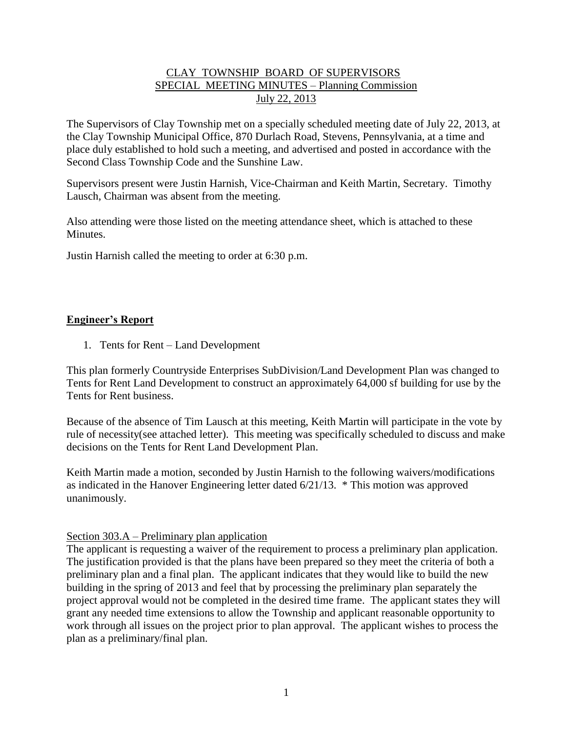# CLAY TOWNSHIP BOARD OF SUPERVISORS SPECIAL MEETING MINUTES – Planning Commission July 22, 2013

The Supervisors of Clay Township met on a specially scheduled meeting date of July 22, 2013, at the Clay Township Municipal Office, 870 Durlach Road, Stevens, Pennsylvania, at a time and place duly established to hold such a meeting, and advertised and posted in accordance with the Second Class Township Code and the Sunshine Law.

Supervisors present were Justin Harnish, Vice-Chairman and Keith Martin, Secretary. Timothy Lausch, Chairman was absent from the meeting.

Also attending were those listed on the meeting attendance sheet, which is attached to these Minutes.

Justin Harnish called the meeting to order at 6:30 p.m.

# **Engineer's Report**

1. Tents for Rent – Land Development

This plan formerly Countryside Enterprises SubDivision/Land Development Plan was changed to Tents for Rent Land Development to construct an approximately 64,000 sf building for use by the Tents for Rent business.

Because of the absence of Tim Lausch at this meeting, Keith Martin will participate in the vote by rule of necessity(see attached letter). This meeting was specifically scheduled to discuss and make decisions on the Tents for Rent Land Development Plan.

Keith Martin made a motion, seconded by Justin Harnish to the following waivers/modifications as indicated in the Hanover Engineering letter dated 6/21/13. \* This motion was approved unanimously.

## Section 303.A – Preliminary plan application

The applicant is requesting a waiver of the requirement to process a preliminary plan application. The justification provided is that the plans have been prepared so they meet the criteria of both a preliminary plan and a final plan. The applicant indicates that they would like to build the new building in the spring of 2013 and feel that by processing the preliminary plan separately the project approval would not be completed in the desired time frame. The applicant states they will grant any needed time extensions to allow the Township and applicant reasonable opportunity to work through all issues on the project prior to plan approval. The applicant wishes to process the plan as a preliminary/final plan.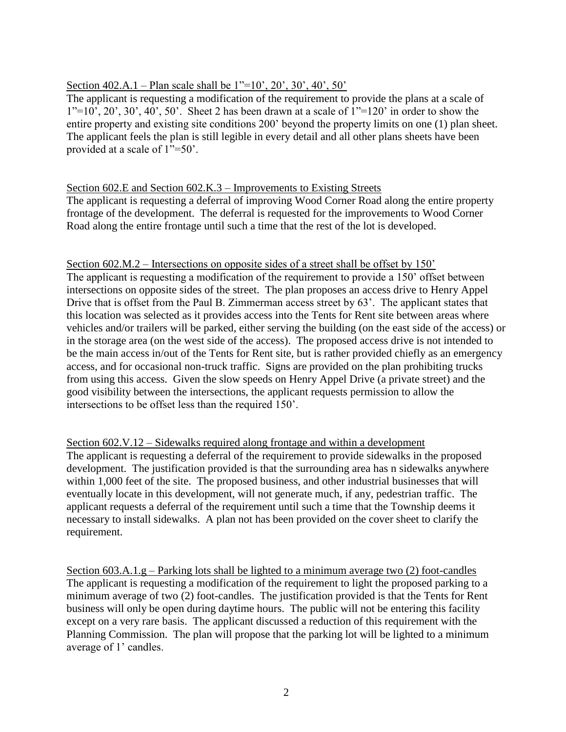## Section 402.A.1 – Plan scale shall be 1"=10', 20', 30', 40', 50'

The applicant is requesting a modification of the requirement to provide the plans at a scale of  $1"=10'$ ,  $20'$ ,  $30'$ ,  $40'$ ,  $50'$ . Sheet 2 has been drawn at a scale of  $1"=120'$  in order to show the entire property and existing site conditions 200' beyond the property limits on one (1) plan sheet. The applicant feels the plan is still legible in every detail and all other plans sheets have been provided at a scale of 1"=50'.

#### Section 602.E and Section 602.K.3 – Improvements to Existing Streets

The applicant is requesting a deferral of improving Wood Corner Road along the entire property frontage of the development. The deferral is requested for the improvements to Wood Corner Road along the entire frontage until such a time that the rest of the lot is developed.

#### Section 602.M.2 – Intersections on opposite sides of a street shall be offset by 150'

The applicant is requesting a modification of the requirement to provide a 150' offset between intersections on opposite sides of the street. The plan proposes an access drive to Henry Appel Drive that is offset from the Paul B. Zimmerman access street by 63'. The applicant states that this location was selected as it provides access into the Tents for Rent site between areas where vehicles and/or trailers will be parked, either serving the building (on the east side of the access) or in the storage area (on the west side of the access). The proposed access drive is not intended to be the main access in/out of the Tents for Rent site, but is rather provided chiefly as an emergency access, and for occasional non-truck traffic. Signs are provided on the plan prohibiting trucks from using this access. Given the slow speeds on Henry Appel Drive (a private street) and the good visibility between the intersections, the applicant requests permission to allow the intersections to be offset less than the required 150'.

## Section 602.V.12 – Sidewalks required along frontage and within a development The applicant is requesting a deferral of the requirement to provide sidewalks in the proposed development. The justification provided is that the surrounding area has n sidewalks anywhere within 1,000 feet of the site. The proposed business, and other industrial businesses that will eventually locate in this development, will not generate much, if any, pedestrian traffic. The applicant requests a deferral of the requirement until such a time that the Township deems it necessary to install sidewalks. A plan not has been provided on the cover sheet to clarify the requirement.

Section 603.A.1.g – Parking lots shall be lighted to a minimum average two (2) foot-candles The applicant is requesting a modification of the requirement to light the proposed parking to a minimum average of two (2) foot-candles. The justification provided is that the Tents for Rent business will only be open during daytime hours. The public will not be entering this facility except on a very rare basis. The applicant discussed a reduction of this requirement with the Planning Commission. The plan will propose that the parking lot will be lighted to a minimum average of 1' candles.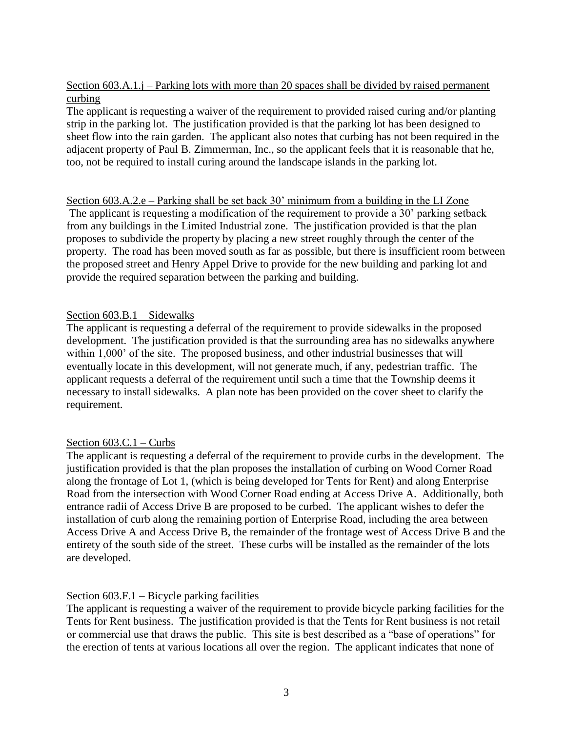Section 603.A.1.j – Parking lots with more than 20 spaces shall be divided by raised permanent curbing

The applicant is requesting a waiver of the requirement to provided raised curing and/or planting strip in the parking lot. The justification provided is that the parking lot has been designed to sheet flow into the rain garden. The applicant also notes that curbing has not been required in the adjacent property of Paul B. Zimmerman, Inc., so the applicant feels that it is reasonable that he, too, not be required to install curing around the landscape islands in the parking lot.

Section 603.A.2.e – Parking shall be set back 30' minimum from a building in the LI Zone The applicant is requesting a modification of the requirement to provide a 30' parking setback from any buildings in the Limited Industrial zone. The justification provided is that the plan proposes to subdivide the property by placing a new street roughly through the center of the property. The road has been moved south as far as possible, but there is insufficient room between the proposed street and Henry Appel Drive to provide for the new building and parking lot and provide the required separation between the parking and building.

#### Section 603.B.1 – Sidewalks

The applicant is requesting a deferral of the requirement to provide sidewalks in the proposed development. The justification provided is that the surrounding area has no sidewalks anywhere within 1,000' of the site. The proposed business, and other industrial businesses that will eventually locate in this development, will not generate much, if any, pedestrian traffic. The applicant requests a deferral of the requirement until such a time that the Township deems it necessary to install sidewalks. A plan note has been provided on the cover sheet to clarify the requirement.

#### Section 603.C.1 – Curbs

The applicant is requesting a deferral of the requirement to provide curbs in the development. The justification provided is that the plan proposes the installation of curbing on Wood Corner Road along the frontage of Lot 1, (which is being developed for Tents for Rent) and along Enterprise Road from the intersection with Wood Corner Road ending at Access Drive A. Additionally, both entrance radii of Access Drive B are proposed to be curbed. The applicant wishes to defer the installation of curb along the remaining portion of Enterprise Road, including the area between Access Drive A and Access Drive B, the remainder of the frontage west of Access Drive B and the entirety of the south side of the street. These curbs will be installed as the remainder of the lots are developed.

#### Section 603.F.1 – Bicycle parking facilities

The applicant is requesting a waiver of the requirement to provide bicycle parking facilities for the Tents for Rent business. The justification provided is that the Tents for Rent business is not retail or commercial use that draws the public. This site is best described as a "base of operations" for the erection of tents at various locations all over the region. The applicant indicates that none of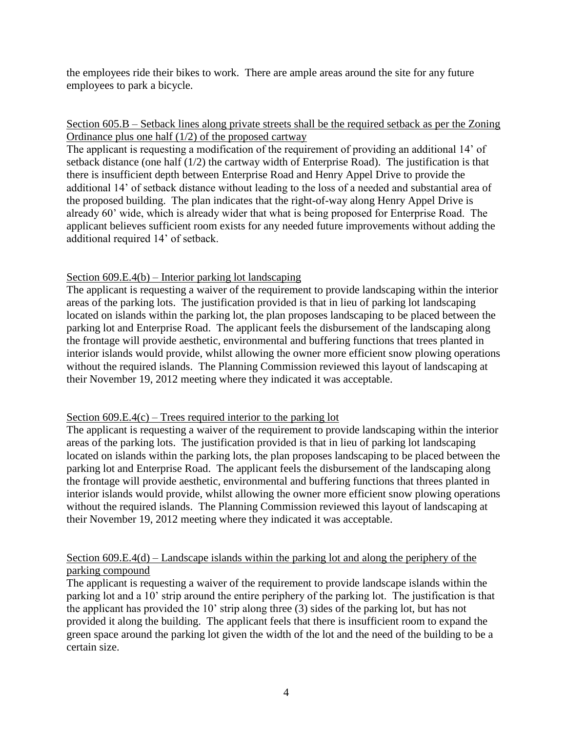the employees ride their bikes to work. There are ample areas around the site for any future employees to park a bicycle.

## Section 605.B – Setback lines along private streets shall be the required setback as per the Zoning Ordinance plus one half (1/2) of the proposed cartway

The applicant is requesting a modification of the requirement of providing an additional 14' of setback distance (one half (1/2) the cartway width of Enterprise Road). The justification is that there is insufficient depth between Enterprise Road and Henry Appel Drive to provide the additional 14' of setback distance without leading to the loss of a needed and substantial area of the proposed building. The plan indicates that the right-of-way along Henry Appel Drive is already 60' wide, which is already wider that what is being proposed for Enterprise Road. The applicant believes sufficient room exists for any needed future improvements without adding the additional required 14' of setback.

## Section 609.E.4(b) – Interior parking lot landscaping

The applicant is requesting a waiver of the requirement to provide landscaping within the interior areas of the parking lots. The justification provided is that in lieu of parking lot landscaping located on islands within the parking lot, the plan proposes landscaping to be placed between the parking lot and Enterprise Road. The applicant feels the disbursement of the landscaping along the frontage will provide aesthetic, environmental and buffering functions that trees planted in interior islands would provide, whilst allowing the owner more efficient snow plowing operations without the required islands. The Planning Commission reviewed this layout of landscaping at their November 19, 2012 meeting where they indicated it was acceptable.

#### Section  $609.E.4(c)$  – Trees required interior to the parking lot

The applicant is requesting a waiver of the requirement to provide landscaping within the interior areas of the parking lots. The justification provided is that in lieu of parking lot landscaping located on islands within the parking lots, the plan proposes landscaping to be placed between the parking lot and Enterprise Road. The applicant feels the disbursement of the landscaping along the frontage will provide aesthetic, environmental and buffering functions that threes planted in interior islands would provide, whilst allowing the owner more efficient snow plowing operations without the required islands. The Planning Commission reviewed this layout of landscaping at their November 19, 2012 meeting where they indicated it was acceptable.

## Section 609.E.4(d) – Landscape islands within the parking lot and along the periphery of the parking compound

The applicant is requesting a waiver of the requirement to provide landscape islands within the parking lot and a 10' strip around the entire periphery of the parking lot. The justification is that the applicant has provided the 10' strip along three (3) sides of the parking lot, but has not provided it along the building. The applicant feels that there is insufficient room to expand the green space around the parking lot given the width of the lot and the need of the building to be a certain size.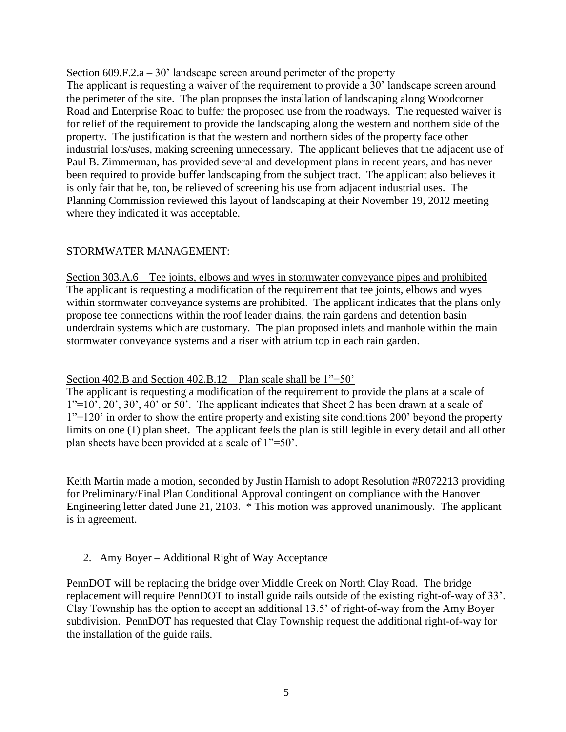#### Section  $609.F.2.a - 30'$  landscape screen around perimeter of the property

The applicant is requesting a waiver of the requirement to provide a 30' landscape screen around the perimeter of the site. The plan proposes the installation of landscaping along Woodcorner Road and Enterprise Road to buffer the proposed use from the roadways. The requested waiver is for relief of the requirement to provide the landscaping along the western and northern side of the property. The justification is that the western and northern sides of the property face other industrial lots/uses, making screening unnecessary. The applicant believes that the adjacent use of Paul B. Zimmerman, has provided several and development plans in recent years, and has never been required to provide buffer landscaping from the subject tract. The applicant also believes it is only fair that he, too, be relieved of screening his use from adjacent industrial uses. The Planning Commission reviewed this layout of landscaping at their November 19, 2012 meeting where they indicated it was acceptable.

## STORMWATER MANAGEMENT:

Section 303.A.6 – Tee joints, elbows and wyes in stormwater conveyance pipes and prohibited The applicant is requesting a modification of the requirement that tee joints, elbows and wyes within stormwater conveyance systems are prohibited. The applicant indicates that the plans only propose tee connections within the roof leader drains, the rain gardens and detention basin underdrain systems which are customary. The plan proposed inlets and manhole within the main stormwater conveyance systems and a riser with atrium top in each rain garden.

#### Section 402.B and Section 402.B.12 – Plan scale shall be  $1"=50'$ .

The applicant is requesting a modification of the requirement to provide the plans at a scale of  $1"=10'$ ,  $20'$ ,  $30'$ ,  $40'$  or  $50'$ . The applicant indicates that Sheet 2 has been drawn at a scale of 1"=120' in order to show the entire property and existing site conditions 200' beyond the property limits on one (1) plan sheet. The applicant feels the plan is still legible in every detail and all other plan sheets have been provided at a scale of 1"=50'.

Keith Martin made a motion, seconded by Justin Harnish to adopt Resolution #R072213 providing for Preliminary/Final Plan Conditional Approval contingent on compliance with the Hanover Engineering letter dated June 21, 2103. \* This motion was approved unanimously. The applicant is in agreement.

#### 2. Amy Boyer – Additional Right of Way Acceptance

PennDOT will be replacing the bridge over Middle Creek on North Clay Road. The bridge replacement will require PennDOT to install guide rails outside of the existing right-of-way of 33'. Clay Township has the option to accept an additional 13.5' of right-of-way from the Amy Boyer subdivision. PennDOT has requested that Clay Township request the additional right-of-way for the installation of the guide rails.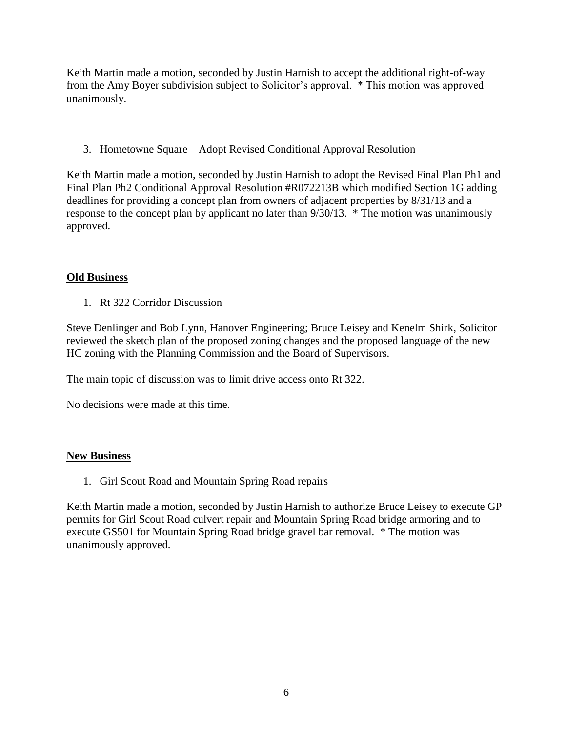Keith Martin made a motion, seconded by Justin Harnish to accept the additional right-of-way from the Amy Boyer subdivision subject to Solicitor's approval. \* This motion was approved unanimously.

3. Hometowne Square – Adopt Revised Conditional Approval Resolution

Keith Martin made a motion, seconded by Justin Harnish to adopt the Revised Final Plan Ph1 and Final Plan Ph2 Conditional Approval Resolution #R072213B which modified Section 1G adding deadlines for providing a concept plan from owners of adjacent properties by 8/31/13 and a response to the concept plan by applicant no later than 9/30/13. \* The motion was unanimously approved.

# **Old Business**

1. Rt 322 Corridor Discussion

Steve Denlinger and Bob Lynn, Hanover Engineering; Bruce Leisey and Kenelm Shirk, Solicitor reviewed the sketch plan of the proposed zoning changes and the proposed language of the new HC zoning with the Planning Commission and the Board of Supervisors.

The main topic of discussion was to limit drive access onto Rt 322.

No decisions were made at this time.

## **New Business**

1. Girl Scout Road and Mountain Spring Road repairs

Keith Martin made a motion, seconded by Justin Harnish to authorize Bruce Leisey to execute GP permits for Girl Scout Road culvert repair and Mountain Spring Road bridge armoring and to execute GS501 for Mountain Spring Road bridge gravel bar removal. \* The motion was unanimously approved.